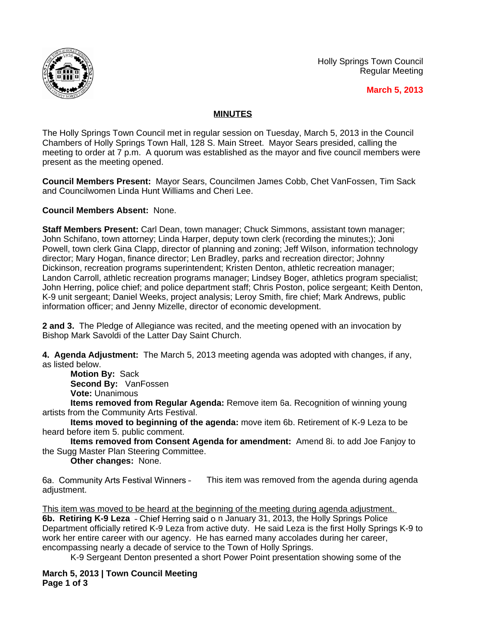

Holly Springs Town Council Regular Meeting

**March 5, 2013**

## **MINUTES**

The Holly Springs Town Council met in regular session on Tuesday, March 5, 2013 in the Council Chambers of Holly Springs Town Hall, 128 S. Main Street. Mayor Sears presided, calling the meeting to order at 7 p.m. A quorum was established as the mayor and five council members were present as the meeting opened.

**Council Members Present:** Mayor Sears, Councilmen James Cobb, Chet VanFossen, Tim Sack and Councilwomen Linda Hunt Williams and Cheri Lee.

**Council Members Absent:** None.

**Staff Members Present:** Carl Dean, town manager; Chuck Simmons, assistant town manager; John Schifano, town attorney; Linda Harper, deputy town clerk (recording the minutes;); Joni Powell, town clerk Gina Clapp, director of planning and zoning; Jeff Wilson, information technology director; Mary Hogan, finance director; Len Bradley, parks and recreation director; Johnny Dickinson, recreation programs superintendent; Kristen Denton, athletic recreation manager; Landon Carroll, athletic recreation programs manager; Lindsey Boger, athletics program specialist; John Herring, police chief; and police department staff; Chris Poston, police sergeant; Keith Denton, K-9 unit sergeant; Daniel Weeks, project analysis; Leroy Smith, fire chief; Mark Andrews, public information officer; and Jenny Mizelle, director of economic development.

**2 and 3.** The Pledge of Allegiance was recited, and the meeting opened with an invocation by Bishop Mark Savoldi of the Latter Day Saint Church.

**4. Agenda Adjustment:** The March 5, 2013 meeting agenda was adopted with changes, if any, as listed below.

**Motion By:** Sack **Second By:** VanFossen **Vote:** Unanimous

**Items removed from Regular Agenda:** Remove item 6a. Recognition of winning young artists from the Community Arts Festival.

**Items moved to beginning of the agenda:** move item 6b. Retirement of K-9 Leza to be heard before item 5. public comment.

**Items removed from Consent Agenda for amendment:** Amend 8i. to add Joe Fanjoy to the Sugg Master Plan Steering Committee.

**Other changes:** None.

6a. Community Arts Festival Winners – This item was removed from the agenda during agenda adjustment.

This item was moved to be heard at the beginning of the meeting during agenda adjustment. **6b. Retiring K-9 Leza** – Chief Herring said o n January 31, 2013, the Holly Springs Police Department officially retired K-9 Leza from active duty. He said Leza is the first Holly Springs K-9 to work her entire career with our agency. He has earned many accolades during her career, encompassing nearly a decade of service to the Town of Holly Springs.

K-9 Sergeant Denton presented a short Power Point presentation showing some of the

**March 5, 2013 | Town Council Meeting Page 1 of 3**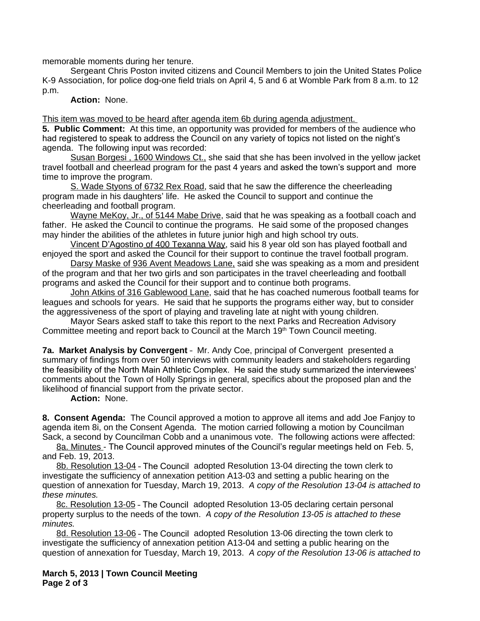memorable moments during her tenure.

Sergeant Chris Poston invited citizens and Council Members to join the United States Police K-9 Association, for police dog-one field trials on April 4, 5 and 6 at Womble Park from 8 a.m. to 12 p.m.

**Action:** None.

This item was moved to be heard after agenda item 6b during agenda adjustment.

**5. Public Comment:** At this time, an opportunity was provided for members of the audience who had registered to speak to address the Council on any variety of topics not listed on the night's agenda. The following input was recorded:

Susan Borgesi, 1600 Windows Ct., she said that she has been involved in the yellow jacket travel football and cheerlead program for the past 4 years and asked the town's support and more time to improve the program.

S. Wade Styons of 6732 Rex Road, said that he saw the difference the cheerleading program made in his daughters' life. He asked the Council to support and continue the cheerleading and football program.

Wayne MeKoy, Jr., of 5144 Mabe Drive, said that he was speaking as a football coach and father. He asked the Council to continue the programs. He said some of the proposed changes may hinder the abilities of the athletes in future junior high and high school try outs.

Vincent D'Agostino of 400 Texanna Way, said his 8 year old son has played football and enjoyed the sport and asked the Council for their support to continue the travel football program.

Darsy Maske of 936 Avent Meadows Lane, said she was speaking as a mom and president of the program and that her two girls and son participates in the travel cheerleading and football programs and asked the Council for their support and to continue both programs.

John Atkins of 316 Gablewood Lane, said that he has coached numerous football teams for leagues and schools for years. He said that he supports the programs either way, but to consider the aggressiveness of the sport of playing and traveling late at night with young children.

Mayor Sears asked staff to take this report to the next Parks and Recreation Advisory Committee meeting and report back to Council at the March 19<sup>th</sup> Town Council meeting.

**7a. Market Analysis by Convergent** – Mr. Andy Coe, principal of Convergent presented a summary of findings from over 50 interviews with community leaders and stakeholders regarding the feasibility of the North Main Athletic Complex. He said the study summarized the interviewees' comments about the Town of Holly Springs in general, specifics about the proposed plan and the likelihood of financial support from the private sector.

**Action:** None.

**8. Consent Agenda:** The Council approved a motion to approve all items and add Joe Fanjoy to agenda item 8i, on the Consent Agenda. The motion carried following a motion by Councilman Sack, a second by Councilman Cobb and a unanimous vote. The following actions were affected:

8a. Minutes - The Council approved minutes of the Council's regular meetings held on Feb. 5, and Feb. 19, 2013.

8b. Resolution 13-04 - The Council adopted Resolution 13-04 directing the town clerk to investigate the sufficiency of annexation petition A13-03 and setting a public hearing on the question of annexation for Tuesday, March 19, 2013. *A copy of the Resolution 13-04 is attached to these minutes.* 

8c. Resolution 13-05 – The Council adopted Resolution 13-05 declaring certain personal property surplus to the needs of the town. *A copy of the Resolution 13-05 is attached to these minutes.* 

8d. Resolution 13-06 – The Council adopted Resolution 13-06 directing the town clerk to investigate the sufficiency of annexation petition A13-04 and setting a public hearing on the question of annexation for Tuesday, March 19, 2013. *A copy of the Resolution 13-06 is attached to* 

**March 5, 2013 | Town Council Meeting Page 2 of 3**